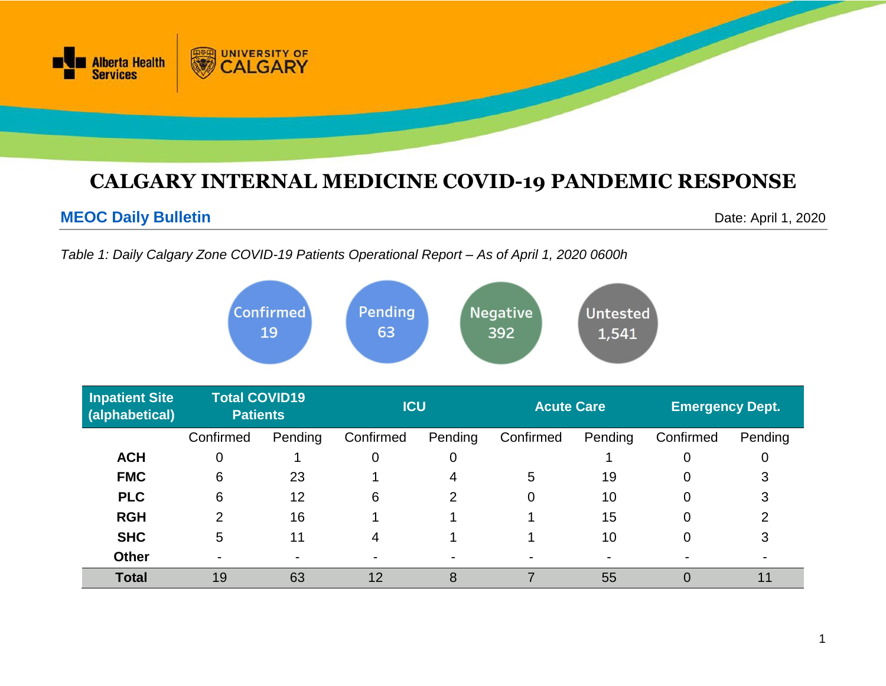

# **CALGARY INTERNAL MEDICINE COVID-19 PANDEMIC RESPONSE**

# **MEOC Daily Bulletin** Date: April 1, 2020

*Table 1: Daily Calgary Zone COVID-19 Patients Operational Report – As of April 1, 2020 0600h*

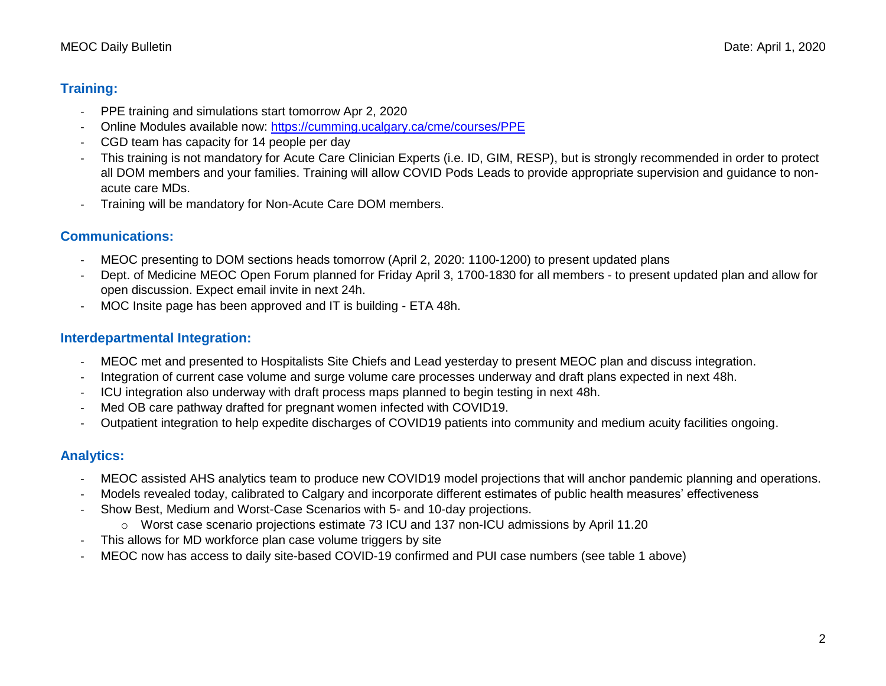### **Training:**

- PPE training and simulations start tomorrow Apr 2, 2020
- Online Modules available now:<https://cumming.ucalgary.ca/cme/courses/PPE>
- CGD team has capacity for 14 people per day
- This training is not mandatory for Acute Care Clinician Experts (i.e. ID, GIM, RESP), but is strongly recommended in order to protect all DOM members and your families. Training will allow COVID Pods Leads to provide appropriate supervision and guidance to nonacute care MDs.
- Training will be mandatory for Non-Acute Care DOM members.

## **Communications:**

- MEOC presenting to DOM sections heads tomorrow (April 2, 2020: 1100-1200) to present updated plans
- Dept. of Medicine MEOC Open Forum planned for Friday April 3, 1700-1830 for all members to present updated plan and allow for open discussion. Expect email invite in next 24h.
- MOC Insite page has been approved and IT is building ETA 48h.

## **Interdepartmental Integration:**

- MEOC met and presented to Hospitalists Site Chiefs and Lead yesterday to present MEOC plan and discuss integration.
- Integration of current case volume and surge volume care processes underway and draft plans expected in next 48h.
- ICU integration also underway with draft process maps planned to begin testing in next 48h.
- Med OB care pathway drafted for pregnant women infected with COVID19.
- Outpatient integration to help expedite discharges of COVID19 patients into community and medium acuity facilities ongoing.

# **Analytics:**

- MEOC assisted AHS analytics team to produce new COVID19 model projections that will anchor pandemic planning and operations.
- Models revealed today, calibrated to Calgary and incorporate different estimates of public health measures' effectiveness
- Show Best, Medium and Worst-Case Scenarios with 5- and 10-day projections.
	- $\circ$  Worst case scenario projections estimate 73 ICU and 137 non-ICU admissions by April 11.20
- This allows for MD workforce plan case volume triggers by site
- MEOC now has access to daily site-based COVID-19 confirmed and PUI case numbers (see table 1 above)